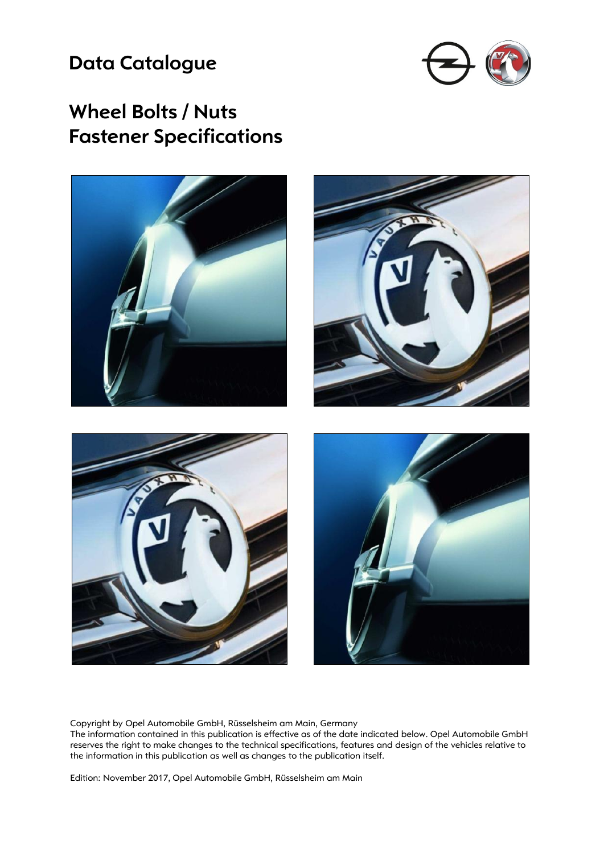### **Data Catalogue**



### **Wheel Bolts / Nuts Fastener Specifications**



Copyright by Opel Automobile GmbH, Rüsselsheim am Main, Germany

The information contained in this publication is effective as of the date indicated below. Opel Automobile GmbH reserves the right to make changes to the technical specifications, features and design of the vehicles relative to the information in this publication as well as changes to the publication itself.

Edition: November 2017, Opel Automobile GmbH, Rüsselsheim am Main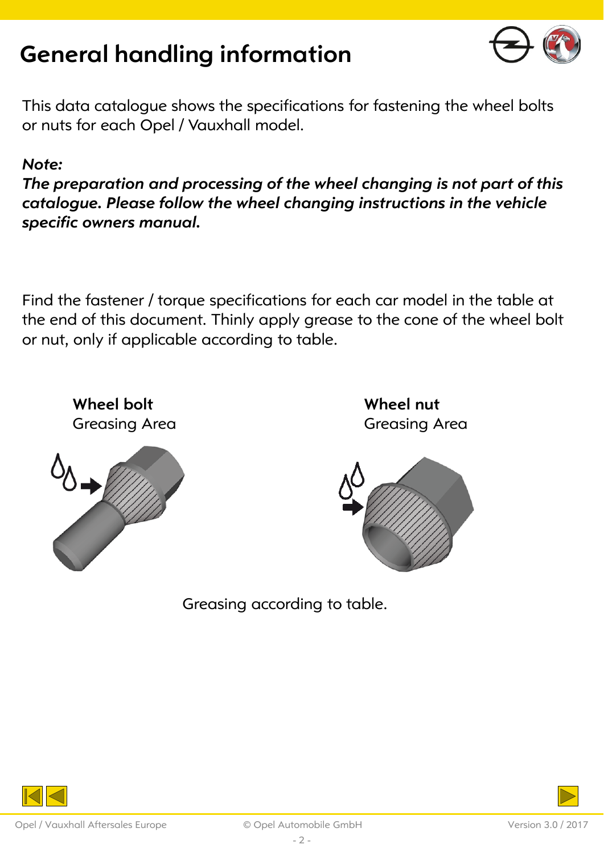

This data catalogue shows the specifications for fastening the wheel bolts or nuts for each Opel / Vauxhall model.

#### *Note:*

*The preparation and processing of the wheel changing is not part of this catalogue. Please follow the wheel changing instructions in the vehicle specific owners manual.* 

Find the fastener / torque specifications for each car model in the table at the end of this document. Thinly apply grease to the cone of the wheel bolt or nut, only if applicable according to table.

**Wheel bolt**  Greasing Area



**Wheel nut**  Greasing Area



Greasing according to table.

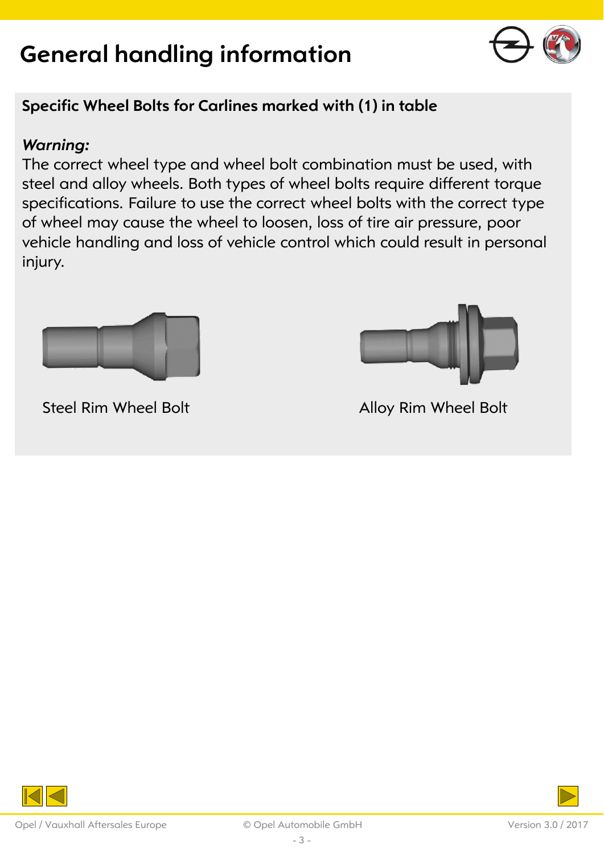

### **Specific Wheel Bolts for Carlines marked with (1) in table**

#### *Warning:*

The correct wheel type and wheel bolt combination must be used, with steel and alloy wheels. Both types of wheel bolts require different torque specifications. Failure to use the correct wheel bolts with the correct type of wheel may cause the wheel to loosen, loss of tire air pressure, poor vehicle handling and loss of vehicle control which could result in personal injury.



Steel Rim Wheel Bolt **Alloy Rim Wheel Bolt** 



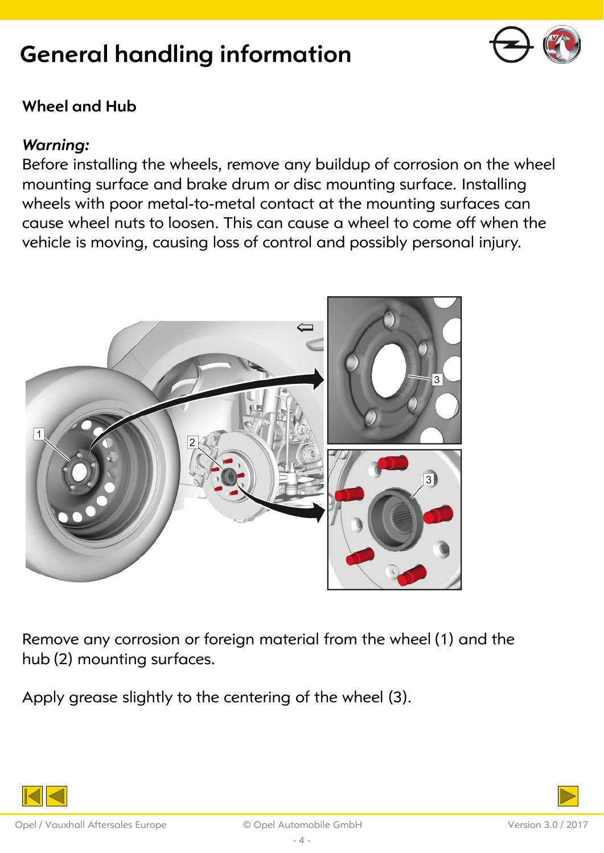

### **Wheel and Hub**

#### *Warning:*

Before installing the wheels, remove any buildup of corrosion on the wheel mounting surface and brake drum or disc mounting surface. Installing wheels with poor metal-to-metal contact at the mounting surfaces can cause wheel nuts to loosen. This can cause a wheel to come off when the vehicle is moving, causing loss of control and possibly personal injury.



Remove any corrosion or foreign material from the wheel (1) and the hub (2) mounting surfaces.

Apply grease slightly to the centering of the wheel (3).

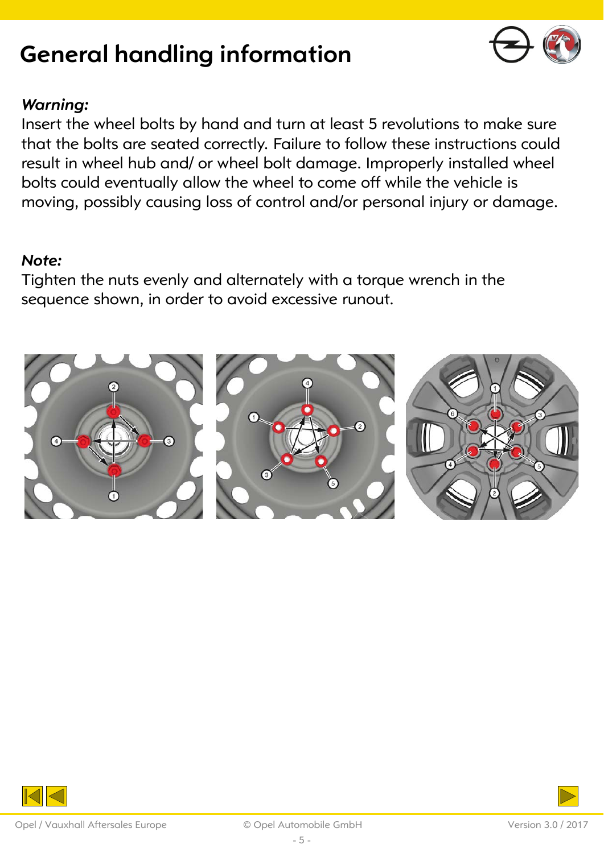

#### *Warning:*

Insert the wheel bolts by hand and turn at least 5 revolutions to make sure that the bolts are seated correctly. Failure to follow these instructions could result in wheel hub and/ or wheel bolt damage. Improperly installed wheel bolts could eventually allow the wheel to come off while the vehicle is moving, possibly causing loss of control and/or personal injury or damage.

#### *Note:*

Tighten the nuts evenly and alternately with a torque wrench in the sequence shown, in order to avoid excessive runout.



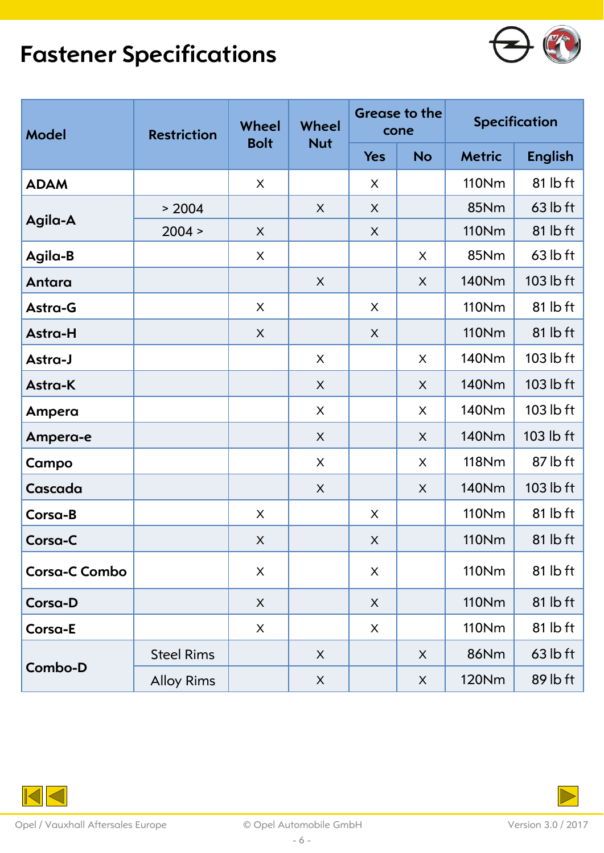## **Fastener Specifications**



| <b>Model</b>         | <b>Restriction</b> | Wheel<br><b>Bolt</b> | Wheel<br><b>Nut</b> | <b>Grease to the</b><br>cone |             | <b>Specification</b> |                |
|----------------------|--------------------|----------------------|---------------------|------------------------------|-------------|----------------------|----------------|
|                      |                    |                      |                     | <b>Yes</b>                   | <b>No</b>   | <b>Metric</b>        | <b>English</b> |
| <b>ADAM</b>          |                    | X                    |                     | X                            |             | 110Nm                | 81 lb ft       |
| Agila-A              | > 2004             |                      | X                   | $\sf X$                      |             | <b>85Nm</b>          | $63$ lb ft     |
|                      | 2004 >             | X                    |                     | X                            |             | <b>110Nm</b>         | $81$ lb ft     |
| Agila-B              |                    | X                    |                     |                              | X           | 85Nm                 | $63$ lb ft     |
| Antara               |                    |                      | X                   |                              | X           | 140Nm                | 103 lb ft      |
| Astra-G              |                    | X                    |                     | X                            |             | <b>110Nm</b>         | 81 lb ft       |
| Astra-H              |                    | X                    |                     | X                            |             | <b>110Nm</b>         | $81$ lb ft     |
| Astra-J              |                    |                      | X                   |                              | X           | 140Nm                | 103 lb ft      |
| Astra-K              |                    |                      | $\mathsf{X}$        |                              | $\sf X$     | <b>140Nm</b>         | 103 lb ft      |
| Ampera               |                    |                      | X                   |                              | X           | 140Nm                | $103$ lb ft    |
| Ampera-e             |                    |                      | X                   |                              | X           | <b>140Nm</b>         | 103 lb ft      |
| Campo                |                    |                      | X                   |                              | X           | <b>118Nm</b>         | 87 lb ft       |
| Cascada              |                    |                      | X                   |                              | X           | 140Nm                | 103 lb ft      |
| Corsa-B              |                    | X                    |                     | X                            |             | <b>110Nm</b>         | $81$ lb ft     |
| Corsa-C              |                    | X                    |                     | X                            |             | <b>110Nm</b>         | $81$ lb ft     |
| <b>Corsa-C Combo</b> |                    | X                    |                     | X                            |             | <b>110Nm</b>         | 81 lb ft       |
| Corsa-D              |                    | $\sf X$              |                     | X                            |             | <b>110Nm</b>         | $81$ lb ft     |
| Corsa-E              |                    | X                    |                     | X                            |             | 110Nm                | 81 lb ft       |
| Combo-D              | <b>Steel Rims</b>  |                      | X                   |                              | X           | <b>86Nm</b>          | $63$ lb ft     |
|                      | <b>Alloy Rims</b>  |                      | $\mathsf X$         |                              | $\mathsf X$ | <b>120Nm</b>         | 89 lb ft       |

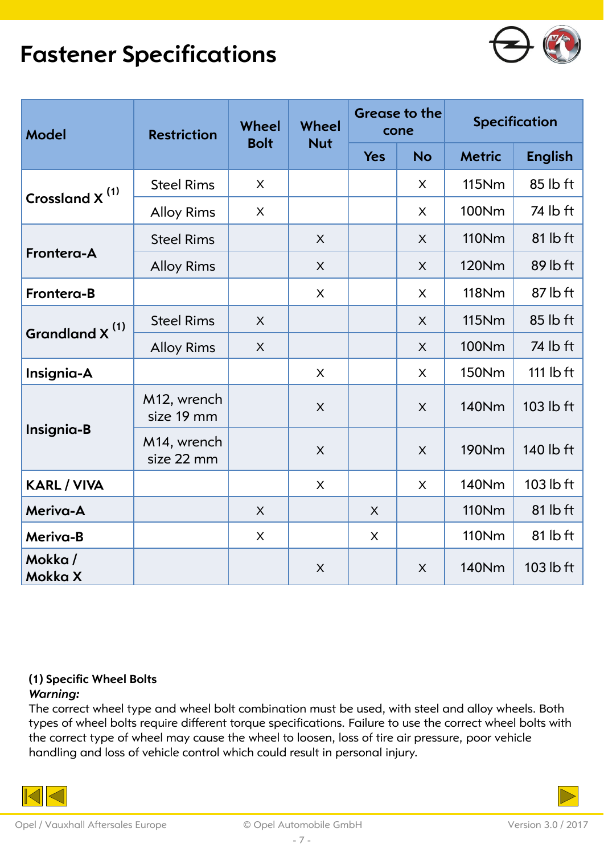### **Fastener Specifications**



| <b>Model</b>               | <b>Restriction</b>        | Wheel<br><b>Bolt</b> | Wheel<br><b>Nut</b> | <b>Grease to the</b><br>cone |              | <b>Specification</b> |                |
|----------------------------|---------------------------|----------------------|---------------------|------------------------------|--------------|----------------------|----------------|
|                            |                           |                      |                     | <b>Yes</b>                   | <b>No</b>    | <b>Metric</b>        | <b>English</b> |
| Crossland $X^{(1)}$        | <b>Steel Rims</b>         | $\mathsf{X}$         |                     |                              | $\mathsf{X}$ | <b>115Nm</b>         | 85 lb ft       |
|                            | <b>Alloy Rims</b>         | X                    |                     |                              | $\sf X$      | 100Nm                | 74 lb ft       |
| Frontera-A                 | <b>Steel Rims</b>         |                      | X                   |                              | $\sf X$      | <b>110Nm</b>         | 81 lb ft       |
|                            | <b>Alloy Rims</b>         |                      | X                   |                              | X            | 120Nm                | 89 lb ft       |
| Frontera-B                 |                           |                      | X                   |                              | X            | <b>118Nm</b>         | 87 lb ft       |
| Grandland X <sup>(1)</sup> | <b>Steel Rims</b>         | $\mathsf{X}$         |                     |                              | $\mathsf{X}$ | <b>115Nm</b>         | 85 lb ft       |
|                            | <b>Alloy Rims</b>         | X                    |                     |                              | X            | 100Nm                | 74 lb ft       |
| Insignia-A                 |                           |                      | X                   |                              | X            | <b>150Nm</b>         | 111 $I$ bft    |
| Insignia-B                 | M12, wrench<br>size 19 mm |                      | X                   |                              | X            | 140Nm                | $103$ lb ft    |
|                            | M14, wrench<br>size 22 mm |                      | X                   |                              | $\mathsf{X}$ | <b>190Nm</b>         | 140 lb ft      |
| <b>KARL / VIVA</b>         |                           |                      | X                   |                              | $\mathsf{X}$ | 140Nm                | 103 lb ft      |
| Meriva-A                   |                           | X                    |                     | X                            |              | <b>110Nm</b>         | 81 lb ft       |
| Meriva-B                   |                           | X                    |                     | X                            |              | <b>110Nm</b>         | 81 lb ft       |
| Mokka/<br>Mokka X          |                           |                      | $\times$            |                              | $\mathsf{X}$ | <b>140Nm</b>         | 103 lb ft      |

#### **(1) Specific Wheel Bolts**

#### *Warning:*

The correct wheel type and wheel bolt combination must be used, with steel and alloy wheels. Both types of wheel bolts require different torque specifications. Failure to use the correct wheel bolts with the correct type of wheel may cause the wheel to loosen, loss of tire air pressure, poor vehicle handling and loss of vehicle control which could result in personal injury.